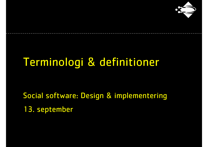

# Terminologi & definitioner

Social software: Design & implementering 13. september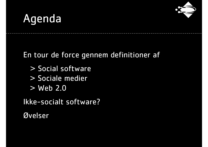

# Agenda

#### En tour de force gennem definitioner af

- > Social software
- > Sociale medier
- > Web 2.0

Ikke-socialt software?

Øvelser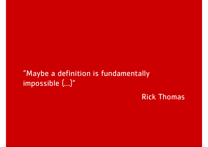#### "Maybe a definition is fundamentally impossible (…)"

Rick Thomas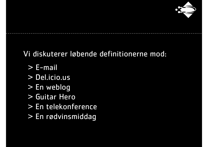

#### Vi diskuterer løbende definitionerne mod:

- > E-mail
- > Del.icio.us
- > En weblog
- > Guitar Hero
- > En telekonference
- > En rødvinsmiddag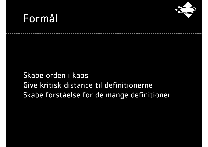

# Formål

#### Skabe orden i kaos Give kritisk distance til definitionerne Skabe forståelse for de mange definitioner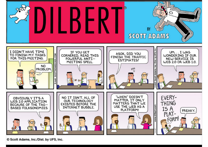

© Scott Adams, Inc./Dist. by UFS, Inc.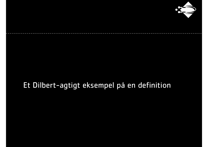

#### Et Dilbert-agtigt eksempel på en definition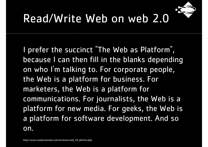

I prefer the succinct "The Web as Platform", because I can then fill in the blanks depending on who <sup>I</sup>'m talking to. For corporate people, the Web is a platform for business. For marketers, the Web is a platform for communications. For journalists, the Web is a platform for new media. For geeks, the Web is a platform for software development. And so on.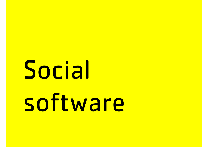# Social software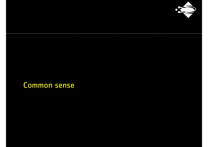

#### Common sense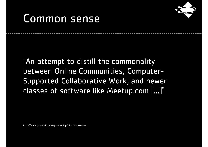

## Common sense

"An attempt to distill the commonality between Online Communities, Computer-Supported Collaborative Work, and newer classes of software like Meetup.com [...]"

http://www.usemod.com/cgi-bin/mb.pl?SocialSoftware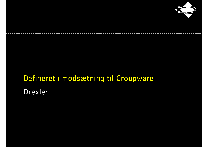

### Defineret i modsætning til Groupware Drexler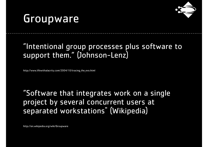

## **Groupware**

#### "Intentional group processes plus software to support them." (Johnson-Lenz)

http://www.lifewithalacrity.com/2004/10/tracing the evo.html

#### "Software that integrates work on a single project by several concurrent users at separated workstations" (Wikipedia)

http://en.wikipedia.org/wiki/Groupware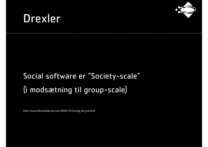

## **Drexler**

### Social software er "Society-scale" (i modsætning til group-scale)

http://www.lifewithalacrity.com/2004/10/tracing\_the\_evo.html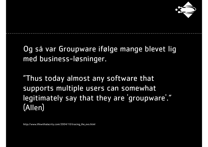

Og så var Groupware ifølge mange blevet lig med business-løsninger.

"Thus today almost any software that supports multiple users can somewhat legitimately say that they are 'groupware'." (Allen)

http://www.lifewithalacrity.com/2004/10/tracing the evo.html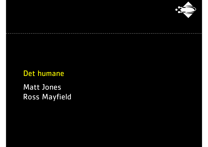

#### Det humane

Matt Jones Ross Mayfield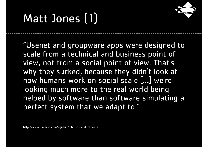

# Matt Jones (1)

"Usenet and groupware apps were designed to scale from a technical and business point of view, not from a social point of view. That's why they sucked, because they didn't look at how humans work on social scale […] we're looking much more to the real world being helped by software than software simulating <sup>a</sup> perfect system that we adapt to."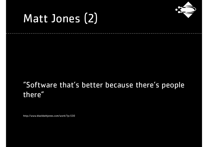

# Matt Jones (2)

#### "Software that's better because there's people there"

http://www.blackbeltjones.com/work/?p=530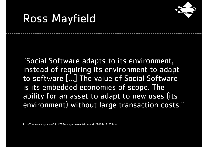

## Ross Mayfield

"Social Software adapts to its environment, instead of requiring its environment to adapt to software […] The value of Social Software is its embedded economies of scope. The ability for an asset to adapt to new uses (its environment) without large transaction costs."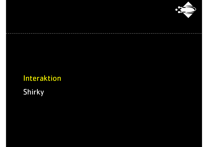

#### **Interaktion**

#### Shirky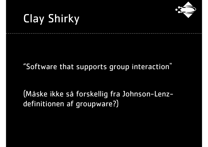

# Clay Shirky

"Software that supports group interaction"

(Måske ikke så forskellig fra Johnson-Lenzdefinitionen af groupware?)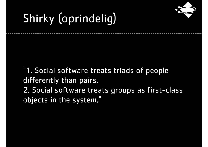

# Shirky (oprindelig)

"1. Social software treats triads of people differently than pairs.

2. Social software treats groups as first-class objects in the system."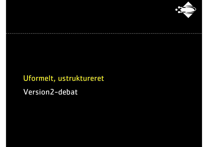

### Uformelt, ustruktureret Version2-debat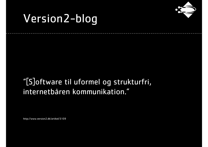

# Version2-blog

#### "[S]oftware til uformel og strukturfri, internetbåren kommunikation."

http://www.version2.dk/artikel/3109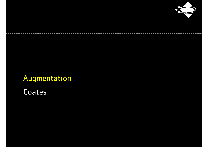

#### Augmentation

#### Coates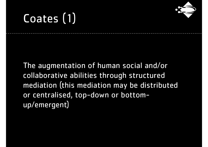

# Coates (1)

The augmentation of human social and/or collaborative abilities through structured mediation (this mediation may be distributed or centralised, top-down or bottomup/emergent)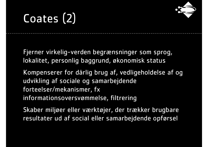

# Coates (2)

Fjerner virkelig-verden begrænsninger som sprog, lokalitet, personlig baggrund, økonomisk status

Kompenserer for dårlig brug af, vedligeholdelse af og udvikling af sociale og samarbejdende forteelser/mekanismer, fx informationsoversvømmelse, filtrering

Skaber miljøer eller værktøjer, der trækker brugbare resultater ud af social eller samarbejdende opførsel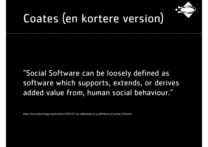

# Coates (en kortere version)

#### "Social Software can be loosely defined as software which supports, extends, or derives added value from, human social behaviour."

http://www.plasticbag.org/archives/2005/01/an addendum to a definition of social software/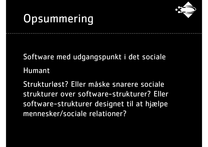

# **Opsummering**

Software med udgangspunkt i det sociale Humant

Strukturløst? Eller måske snarere sociale strukturer over software-strukturer? Eller software-strukturer designet til at hjælpe mennesker/sociale relationer?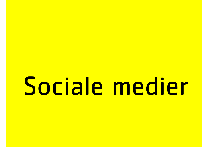# Sociale medier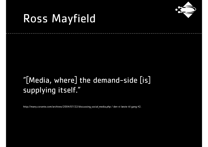

## Ross Mayfield

#### "[Media, where] the demand-side [is] supplying itself."

http://many.corante.com/archives/2004/07/22/discussing social media.php / den vi læste til gang #2.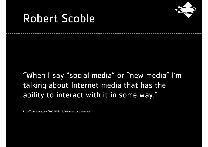

## Robert Scoble

#### "When I say "social media" or "new media" I'm talking about Internet media that has the ability to interact with it in some way."

http://scobleizer.com/2007/02/16/what-is-social-media/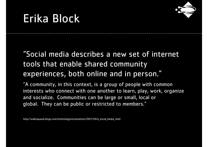

## Erika Block

#### "Social media describes a new set of internet tools that enable shared community experiences, both online and in person."

"A community, in this context, is a group of people with common interests who connect with one another to learn, play, work, organize and socialize. Communities can be large or small, local or global. They can be public or restricted to members."

http://walksquawk.blogs.com/technologyintranslation/2007/04/a\_social\_media\_.html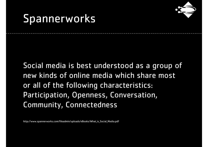

## Spannerworks

Social media is best understood as a group of new kinds of online media which share most or all of the following characteristics: Participation, Openness, Conversation, Community, Connectedness

http://www.spannerworks.com/fileadmin/uploads/eBooks/What\_is\_Social\_Media.pdf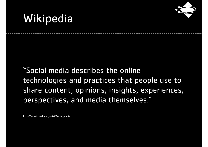

# Wikipedia

"Social media describes the online technologies and practices that people use to share content, opinions, insights, experiences, perspectives, and media themselves."

http://en.wikipedia.org/wiki/Social\_media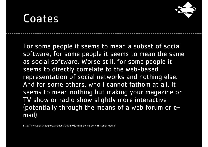

# Coates

For some people it seems to mean a subset of social software, for some people it seems to mean the same as social software. Worse still, for some people it seems to directly correlate to the web-based representation of social networks and nothing else. And for some others, who I cannot fathom at all, it seems to mean nothing but making your magazine or TV show or radio show slightly more interactive (potentially through the means of a web forum or email).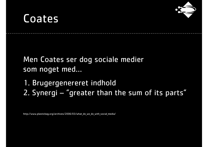

## Coates

#### Men Coates ser dog sociale medier som noget med…

#### 1. Brugergenereret indhold 2. Synergi – "greater than the sum of its parts"

http://www.plasticbag.org/archives/2006/03/what\_do\_we\_do\_with\_social\_media/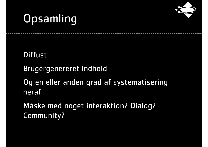

# **Opsamling**

#### Diffust!

Brugergenereret indhold

Og en eller anden grad af systematisering heraf

Måske med noget interaktion? Dialog? Community?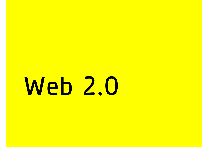# Web 2.0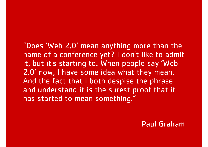"Does 'Web 2.0' mean anything more than the name of a conference yet? I don't like to admit it, but it's starting to. When people say 'Web 2.0' now, I have some idea what they mean. And the fact that I both despise the phrase and understand it is the surest proof that it has started to mean something."

#### Paul Graham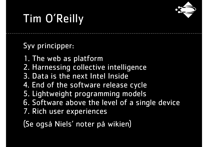

# Tim O'Reilly

#### Syv principper:

- 1. The web as platform
- 2. Harnessing collective intelligence
- 3. Data is the next Intel Inside
- 4. End of the software release cycle
- 5. Lightweight programming models
- 6. Software above the level of a single device
- 7. Rich user experiences

(Se også Niels' noter på wikien)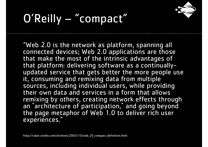

# O'Reilly – "compact"

"Web 2.0 is the network as platform, spanning all connected devices; Web 2.0 applications are those that make the most of the intrinsic advantages of that platform: delivering software as a continuallyupdated service that gets better the more people use it, consuming and remixing data from multiple sources, including individual users, while providing their own data and services in a form that allows remixing by others, creating network effects through an "architecture of participation," and going beyond the page metaphor of Web 1.0 to deliver rich user experiences."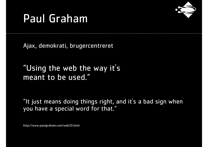

## Paul Graham

Ajax, demokrati, brugercentreret

#### "Using the web the way it's meant to be used."

"It just means doing things right, and it's a bad sign when you have a special word for that."

http://www.paulgraham.com/web20.html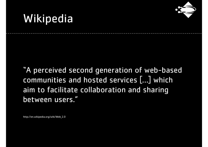

# Wikipedia

"A perceived second generation of web-based communities and hosted services […] which aim to facilitate collaboration and sharing between users."

http://en.wikipedia.org/wiki/Web\_2.0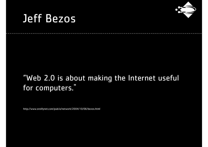

## Jeff Bezos

#### "Web 2.0 is about making the Internet useful for computers."

http://www.oreillynet.com/pub/a/network/2004/10/06/bezos.html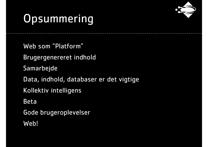

# **Opsummering**

Web som "Platform" Brugergenereret indhold Samarbejde Data, indhold, databaser er det vigtige Kollektiv intelligens Beta Gode brugeroplevelser Web!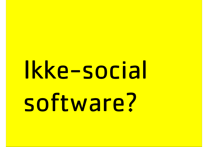Ikke-social software?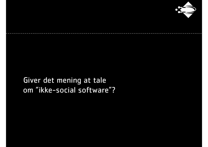

#### Giver det mening at tale om "ikke-social software"?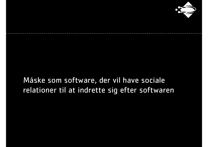

#### Måske som software, der vil have sociale relationer til at indrette sig efter softwaren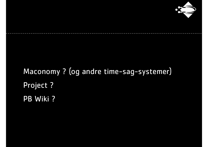

## Maconomy ? (og andre time-sag-systemer) Project ? PB Wiki ?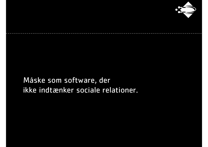

#### Måske som software, der ikke indtænker sociale relationer.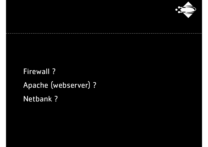

Firewall ? Apache (webserver) ? Netbank ?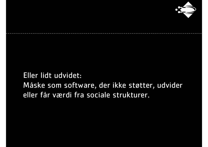

#### Eller lidt udvidet:

#### Måske som software, der ikke støtter, udvider eller får værdi fra sociale strukturer.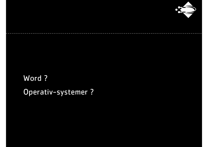

### Word ? Operativ-systemer ?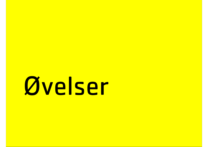# Øvelser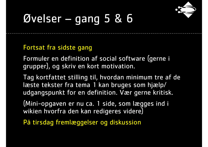

# Øvelser – gang 5 & 6

#### Fortsat fra sidste gang

Formuler en definition af social software (gerne i grupper), og skriv en kort motivation.

Tag kortfattet stilling til, hvordan minimum tre af de læste tekster fra tema 1 kan bruges som hjælp/ udgangspunkt for en definition. Vær gerne kritisk.

(Mini-opgaven er nu ca. 1 side, som lægges ind i wikien hvorfra den kan redigeres videre)

På tirsdag fremlæggelser og diskussion